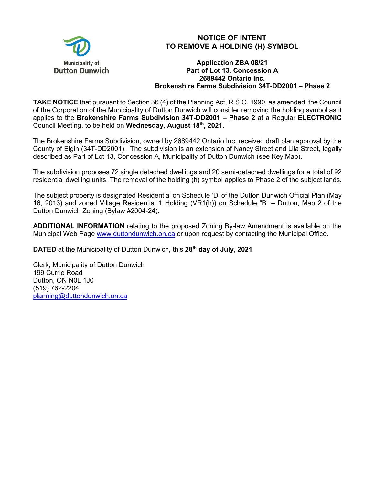

## **NOTICE OF INTENT TO REMOVE A HOLDING (H) SYMBOL**

## **Application ZBA 08/21 Part of Lot 13, Concession A 2689442 Ontario Inc. Brokenshire Farms Subdivision 34T-DD2001 – Phase 2**

**TAKE NOTICE** that pursuant to Section 36 (4) of the Planning Act, R.S.O. 1990, as amended, the Council of the Corporation of the Municipality of Dutton Dunwich will consider removing the holding symbol as it applies to the **Brokenshire Farms Subdivision 34T-DD2001 – Phase 2** at a Regular **ELECTRONIC** Council Meeting, to be held on **Wednesday, August 18th, 2021**.

The Brokenshire Farms Subdivision, owned by 2689442 Ontario Inc. received draft plan approval by the County of Elgin (34T-DD2001). The subdivision is an extension of Nancy Street and Lila Street, legally described as Part of Lot 13, Concession A, Municipality of Dutton Dunwich (see Key Map).

The subdivision proposes 72 single detached dwellings and 20 semi-detached dwellings for a total of 92 residential dwelling units. The removal of the holding (h) symbol applies to Phase 2 of the subject lands.

The subject property is designated Residential on Schedule 'D' of the Dutton Dunwich Official Plan (May 16, 2013) and zoned Village Residential 1 Holding (VR1(h)) on Schedule "B" – Dutton, Map 2 of the Dutton Dunwich Zoning (Bylaw #2004-24).

**ADDITIONAL INFORMATION** relating to the proposed Zoning By-law Amendment is available on the Municipal Web Page [www.duttondunwich.on.ca](http://www.duttondunwich.on.ca/) or upon request by contacting the Municipal Office.

**DATED** at the Municipality of Dutton Dunwich, this **28th day of July, 2021**

Clerk, Municipality of Dutton Dunwich 199 Currie Road Dutton, ON N0L 1J0 (519) 762-2204 [planning@duttondunwich.on.ca](mailto:planning@duttondunwich.on.ca)